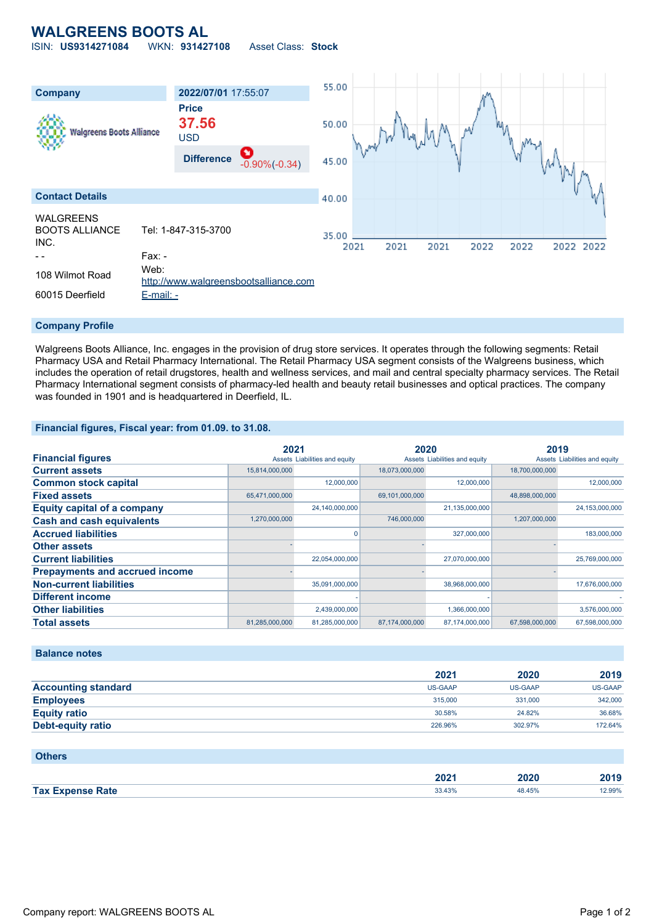# **WALGREENS BOOTS AL**

ISIN: **US9314271084** WKN: **931427108** Asset Class: **Stock**



#### **Company Profile**

Walgreens Boots Alliance, Inc. engages in the provision of drug store services. It operates through the following segments: Retail Pharmacy USA and Retail Pharmacy International. The Retail Pharmacy USA segment consists of the Walgreens business, which includes the operation of retail drugstores, health and wellness services, and mail and central specialty pharmacy services. The Retail Pharmacy International segment consists of pharmacy-led health and beauty retail businesses and optical practices. The company was founded in 1901 and is headquartered in Deerfield, IL.

### **Financial figures, Fiscal year: from 01.09. to 31.08.**

| <b>Financial figures</b>              | 2021<br>Assets Liabilities and equity |                | 2020<br>Assets Liabilities and equity |                | 2019<br>Assets Liabilities and equity |                |
|---------------------------------------|---------------------------------------|----------------|---------------------------------------|----------------|---------------------------------------|----------------|
|                                       |                                       |                |                                       |                |                                       |                |
| <b>Current assets</b>                 | 15,814,000,000                        |                | 18,073,000,000                        |                | 18,700,000,000                        |                |
| <b>Common stock capital</b>           |                                       | 12,000,000     |                                       | 12,000,000     |                                       | 12.000.000     |
| <b>Fixed assets</b>                   | 65,471,000,000                        |                | 69,101,000,000                        |                | 48,898,000,000                        |                |
| <b>Equity capital of a company</b>    |                                       | 24,140,000,000 |                                       | 21,135,000,000 |                                       | 24,153,000,000 |
| <b>Cash and cash equivalents</b>      | 1,270,000,000                         |                | 746,000,000                           |                | 1,207,000,000                         |                |
| <b>Accrued liabilities</b>            |                                       |                |                                       | 327,000,000    |                                       | 183,000,000    |
| <b>Other assets</b>                   |                                       |                |                                       |                |                                       |                |
| <b>Current liabilities</b>            |                                       | 22,054,000,000 |                                       | 27,070,000,000 |                                       | 25,769,000,000 |
| <b>Prepayments and accrued income</b> |                                       |                |                                       |                |                                       |                |
| <b>Non-current liabilities</b>        |                                       | 35,091,000,000 |                                       | 38,968,000,000 |                                       | 17,676,000,000 |
| <b>Different income</b>               |                                       |                |                                       |                |                                       |                |
| <b>Other liabilities</b>              |                                       | 2,439,000,000  |                                       | 1,366,000,000  |                                       | 3,576,000,000  |
| <b>Total assets</b>                   | 81,285,000,000                        | 81,285,000,000 | 87,174,000,000                        | 87,174,000,000 | 67,598,000,000                        | 67,598,000,000 |

### **Balance notes**

|                            | 2021           | 2020           | 2019           |
|----------------------------|----------------|----------------|----------------|
| <b>Accounting standard</b> | <b>US-GAAP</b> | <b>US-GAAP</b> | <b>US-GAAP</b> |
| <b>Employees</b>           | 315,000        | 331,000        | 342,000        |
| <b>Equity ratio</b>        | 30.58%         | 24.82%         | 36.68%         |
| <b>Debt-equity ratio</b>   | 226.96%        | 302.97%        | 172.64%        |

### **Others**

|                         | 2021   | 2020   | 2019   |
|-------------------------|--------|--------|--------|
| <b>Tax Expense Rate</b> | 33.43% | 48.45% | 12.99% |